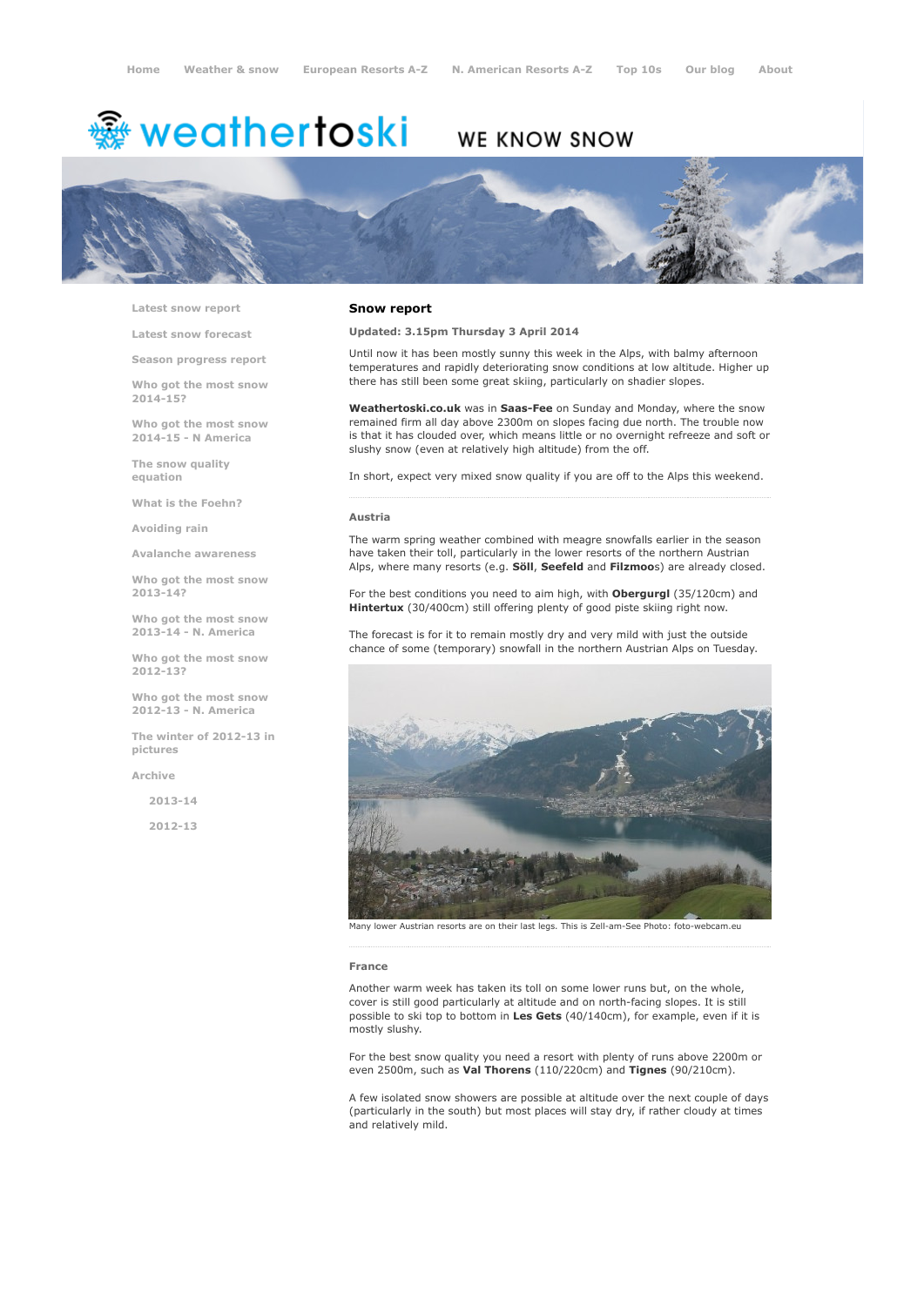# <sup>霧</sup> weathertoski

# WE KNOW SNOW



Latest snow [report](http://www.weathertoski.co.uk/weather-snow/latest-snow-report/)

Latest snow [forecast](http://www.weathertoski.co.uk/weather-snow/latest-snow-forecast/)

Season [progress](http://www.weathertoski.co.uk/weather-snow/season-progress-report/) report

Who got the most snow 2014-15?

Who got the most snow 2014-15 - N America

The snow quality [equation](http://www.weathertoski.co.uk/weather-snow/the-snow-quality-equation/)

What is the [Foehn?](http://www.weathertoski.co.uk/weather-snow/what-is-the-foehn/)

[Avoiding](http://www.weathertoski.co.uk/weather-snow/avoiding-rain/) rain

Avalanche [awareness](http://www.weathertoski.co.uk/weather-snow/avalanche-awareness/)

Who got the most snow 2013-14?

Who got the most snow 2013-14 - N. America

Who got the most snow 2012-13?

Who got the most snow 2012-13 - N. America

The winter of 2012-13 in pictures

[Archive](http://www.weathertoski.co.uk/weather-snow/archive/)

2013-14

2012-13

### Snow report

Updated: 3.15pm Thursday 3 April 2014

Until now it has been mostly sunny this week in the Alps, with balmy afternoon temperatures and rapidly deteriorating snow conditions at low altitude. Higher up there has still been some great skiing, particularly on shadier slopes.

Weathertoski.co.uk was in Saas-Fee on Sunday and Monday, where the snow remained firm all day above 2300m on slopes facing due north. The trouble now is that it has clouded over, which means little or no overnight refreeze and soft or slushy snow (even at relatively high altitude) from the off.

In short, expect very mixed snow quality if you are off to the Alps this weekend.

#### Austria

The warm spring weather combined with meagre snowfalls earlier in the season have taken their toll, particularly in the lower resorts of the northern Austrian Alps, where many resorts (e.g. Söll, Seefeld and Filzmoos) are already closed.

For the best conditions you need to aim high, with **Obergurgl** (35/120cm) and Hintertux (30/400cm) still offering plenty of good piste skiing right now.

The forecast is for it to remain mostly dry and very mild with just the outside chance of some (temporary) snowfall in the northern Austrian Alps on Tuesday.



lower Austrian resorts are on their last legs. This is Zell-am-See Photo: foto-webcam.eu

#### France

Another warm week has taken its toll on some lower runs but, on the whole, cover is still good particularly at altitude and on north-facing slopes. It is still possible to ski top to bottom in Les Gets (40/140cm), for example, even if it is mostly slushy.

For the best snow quality you need a resort with plenty of runs above 2200m or even 2500m, such as Val Thorens (110/220cm) and Tignes (90/210cm).

A few isolated snow showers are possible at altitude over the next couple of days (particularly in the south) but most places will stay dry, if rather cloudy at times and relatively mild.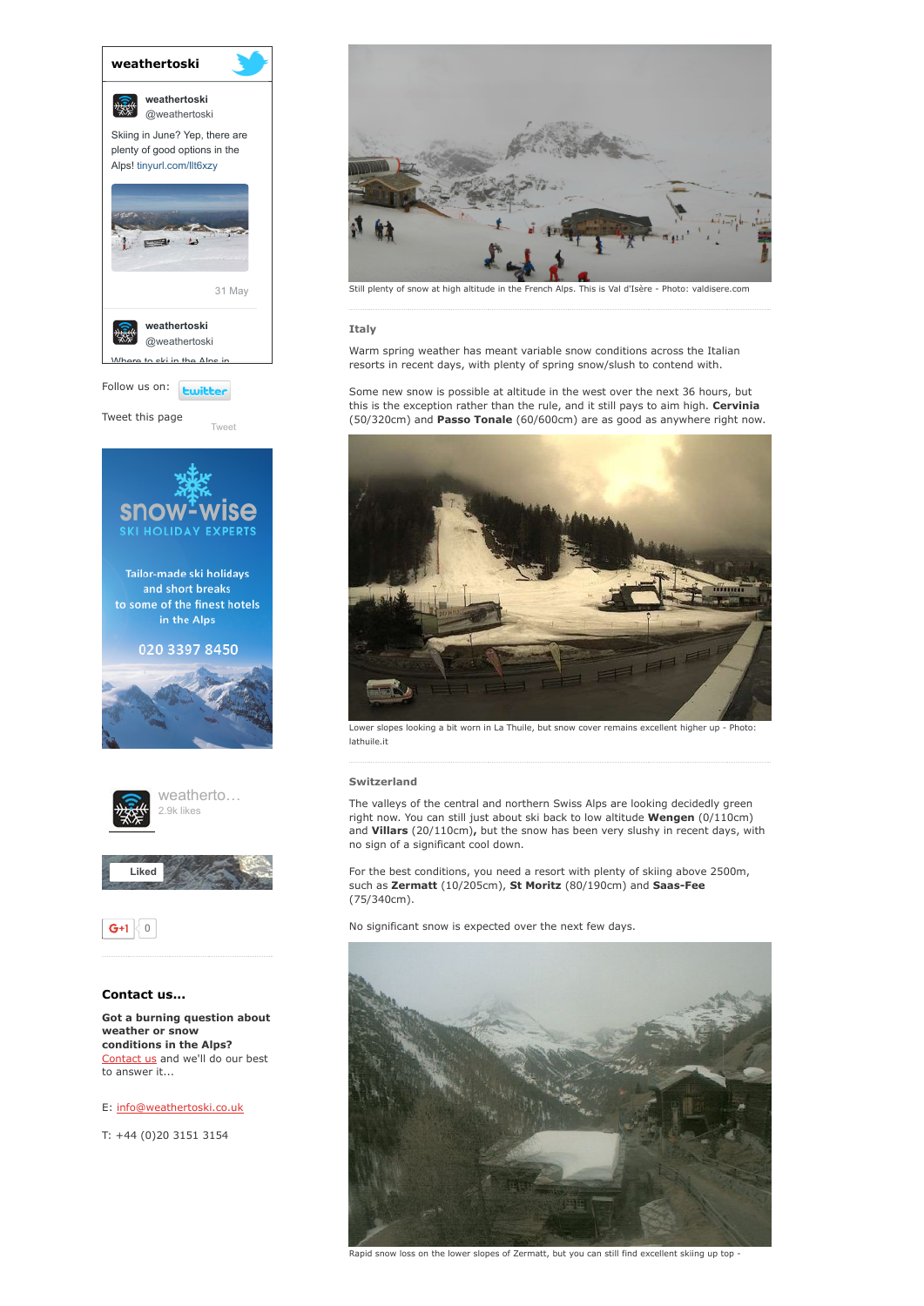

Tweet this page

[Tweet](https://twitter.com/intent/tweet?original_referer=http%3A%2F%2Fwww.weathertoski.co.uk%2Fweather-snow%2Farchive%2Fsnow-report-03-04-2014%2F&ref_src=twsrc%5Etfw&text=Weather%20to%20ski%20-%20snow%20report%20-%203%20April%202014&tw_p=tweetbutton&url=http%3A%2F%2Fwww.weathertoski.co.uk%2Fweather-snow%2Farchive%2Fsnow-report-03-04-2014%2F)





 $G+1$  0

# Contact us...

Got a burning question about weather or snow conditions in the Alps? [Contact](http://www.weathertoski.co.uk/about-1/contact-us/) us and we'll do our best to answer it...

# E: [info@weathertoski.co.uk](mailto:fraser@weathertoski.co.uk)

T: +44 (0)20 3151 3154



Still plenty of snow at high altitude in the French Alps. This is Val d'Isère Photo: valdisere.com

# Italy

Warm spring weather has meant variable snow conditions across the Italian resorts in recent days, with plenty of spring snow/slush to contend with.

Some new snow is possible at altitude in the west over the next 36 hours, but this is the exception rather than the rule, and it still pays to aim high. Cervinia (50/320cm) and Passo Tonale (60/600cm) are as good as anywhere right now.



Lower slopes looking a bit worn in La Thuile, but snow cover remains excellent higher up - Photo: lathuile.it

# Switzerland

The valleys of the central and northern Swiss Alps are looking decidedly green right now. You can still just about ski back to low altitude Wengen (0/110cm) and Villars (20/110cm), but the snow has been very slushy in recent days, with no sign of a significant cool down.

For the best conditions, you need a resort with plenty of skiing above 2500m, such as Zermatt (10/205cm), St Moritz (80/190cm) and Saas-Fee (75/340cm).

No significant snow is expected over the next few days.



Rapid snow loss on the lower slopes of Zermatt, but you can still find excellent skiing up top